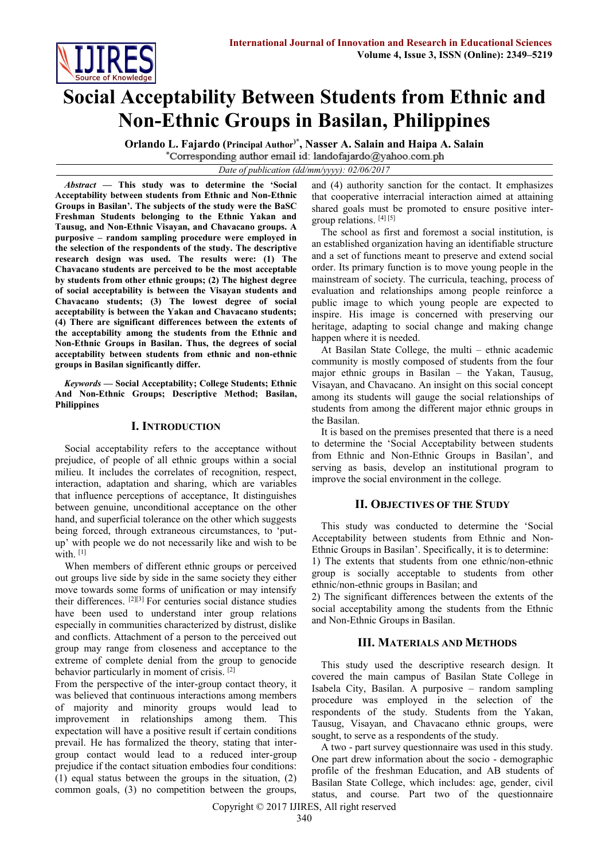

# **Social Acceptability Between Students from Ethnic and Non-Ethnic Groups in Basilan, Philippines**

**Orlando L. Fajardo (Principal Author)\* , Nasser A. Salain and Haipa A. Salain** \*Corresponding author email id: landofajardo@yahoo.com.ph

*Date of publication (dd/mm/yyyy): 02/06/2017*

*Abstract* **— This study was to determine the 'Social Acceptability between students from Ethnic and Non-Ethnic Groups in Basilan'. The subjects of the study were the BaSC Freshman Students belonging to the Ethnic Yakan and Tausug, and Non-Ethnic Visayan, and Chavacano groups. A purposive – random sampling procedure were employed in the selection of the respondents of the study. The descriptive research design was used. The results were: (1) The Chavacano students are perceived to be the most acceptable by students from other ethnic groups; (2) The highest degree of social acceptability is between the Visayan students and Chavacano students; (3) The lowest degree of social acceptability is between the Yakan and Chavacano students; (4) There are significant differences between the extents of the acceptability among the students from the Ethnic and Non-Ethnic Groups in Basilan. Thus, the degrees of social acceptability between students from ethnic and non-ethnic groups in Basilan significantly differ.**

*Keywords* **— Social Acceptability; College Students; Ethnic And Non-Ethnic Groups; Descriptive Method; Basilan, Philippines**

## **I. INTRODUCTION**

Social acceptability refers to the acceptance without prejudice, of people of all ethnic groups within a social milieu. It includes the correlates of recognition, respect, interaction, adaptation and sharing, which are variables that influence perceptions of acceptance, It distinguishes between genuine, unconditional acceptance on the other hand, and superficial tolerance on the other which suggests being forced, through extraneous circumstances, to 'putup' with people we do not necessarily like and wish to be with.<sup>[1]</sup>

When members of different ethnic groups or perceived out groups live side by side in the same society they either move towards some forms of unification or may intensify their differences. [2][3] For centuries social distance studies have been used to understand inter group relations especially in communities characterized by distrust, dislike and conflicts. Attachment of a person to the perceived out group may range from closeness and acceptance to the extreme of complete denial from the group to genocide behavior particularly in moment of crisis. [2]

From the perspective of the inter-group contact theory, it was believed that continuous interactions among members of majority and minority groups would lead to improvement in relationships among them. This expectation will have a positive result if certain conditions prevail. He has formalized the theory, stating that intergroup contact would lead to a reduced inter-group prejudice if the contact situation embodies four conditions: (1) equal status between the groups in the situation, (2) common goals, (3) no competition between the groups,

and (4) authority sanction for the contact. It emphasizes that cooperative interracial interaction aimed at attaining shared goals must be promoted to ensure positive intergroup relations. [4] [5]

The school as first and foremost a social institution, is an established organization having an identifiable structure and a set of functions meant to preserve and extend social order. Its primary function is to move young people in the mainstream of society. The curricula, teaching, process of evaluation and relationships among people reinforce a public image to which young people are expected to inspire. His image is concerned with preserving our heritage, adapting to social change and making change happen where it is needed.

At Basilan State College, the multi – ethnic academic community is mostly composed of students from the four major ethnic groups in Basilan – the Yakan, Tausug, Visayan, and Chavacano. An insight on this social concept among its students will gauge the social relationships of students from among the different major ethnic groups in the Basilan.

It is based on the premises presented that there is a need to determine the 'Social Acceptability between students from Ethnic and Non-Ethnic Groups in Basilan', and serving as basis, develop an institutional program to improve the social environment in the college.

## **II. OBJECTIVES OF THE STUDY**

This study was conducted to determine the 'Social Acceptability between students from Ethnic and Non-Ethnic Groups in Basilan'. Specifically, it is to determine: 1) The extents that students from one ethnic/non-ethnic

group is socially acceptable to students from other ethnic/non-ethnic groups in Basilan; and

2) The significant differences between the extents of the social acceptability among the students from the Ethnic and Non-Ethnic Groups in Basilan.

## **III. MATERIALS AND METHODS**

This study used the descriptive research design. It covered the main campus of Basilan State College in Isabela City, Basilan. A purposive – random sampling procedure was employed in the selection of the respondents of the study. Students from the Yakan, Tausug, Visayan, and Chavacano ethnic groups, were sought, to serve as a respondents of the study.

A two - part survey questionnaire was used in this study. One part drew information about the socio - demographic profile of the freshman Education, and AB students of Basilan State College, which includes: age, gender, civil status, and course. Part two of the questionnaire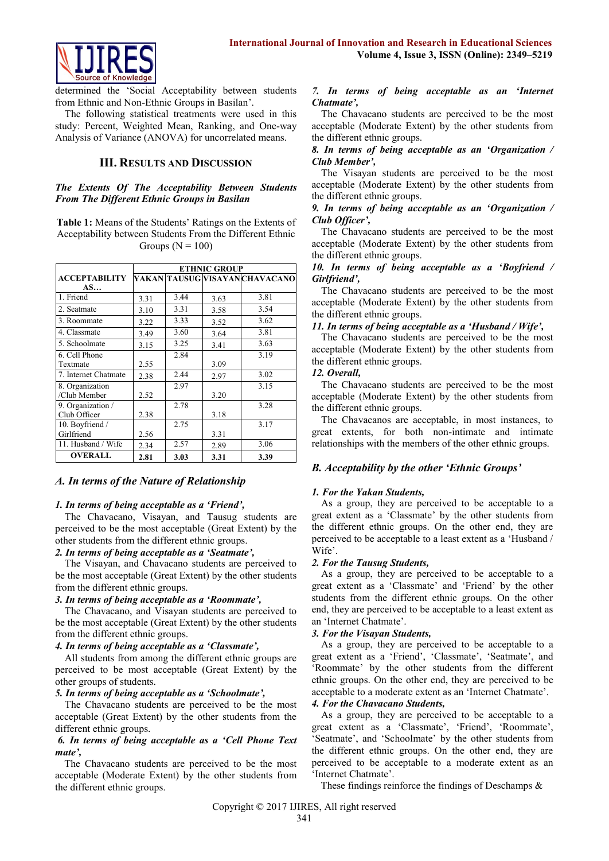

determined the 'Social Acceptability between students from Ethnic and Non-Ethnic Groups in Basilan'.

The following statistical treatments were used in this study: Percent, Weighted Mean, Ranking, and One-way Analysis of Variance (ANOVA) for uncorrelated means.

## **III. RESULTS AND DISCUSSION**

#### *The Extents Of The Acceptability Between Students From The Different Ethnic Groups in Basilan*

**Table 1:** Means of the Students' Ratings on the Extents of Acceptability between Students From the Different Ethnic Groups ( $N = 100$ )

|                      | <b>ETHNIC GROUP</b> |      |      |                                |
|----------------------|---------------------|------|------|--------------------------------|
| <b>ACCEPTABILITY</b> |                     |      |      | YAKAN TAUSUG VISAYAN CHAVACANO |
| AS                   |                     |      |      |                                |
| 1. Friend            | 3.31                | 3.44 | 3.63 | 3.81                           |
| 2. Seatmate          | 3.10                | 3.31 | 3.58 | 3.54                           |
| 3. Roommate          | 3.22                | 3.33 | 3.52 | 3.62                           |
| 4. Classmate         | 3.49                | 3.60 | 3.64 | 3.81                           |
| 5. Schoolmate        | 3.15                | 3.25 | 3.41 | 3.63                           |
| 6. Cell Phone        |                     | 2.84 |      | 3.19                           |
| Textmate             | 2.55                |      | 3.09 |                                |
| 7. Internet Chatmate | 2.38                | 2.44 | 2.97 | 3.02                           |
| 8. Organization      |                     | 2.97 |      | 3.15                           |
| /Club Member         | 2.52                |      | 3.20 |                                |
| 9. Organization /    |                     | 2.78 |      | 3.28                           |
| Club Officer         | 2.38                |      | 3.18 |                                |
| 10. Boyfriend /      |                     | 2.75 |      | 3.17                           |
| Girlfriend           | 2.56                |      | 3.31 |                                |
| 11. Husband / Wife   | 2.34                | 2.57 | 2.89 | 3.06                           |
| <b>OVERALL</b>       | 2.81                | 3.03 | 3.31 | 3.39                           |

## *A. In terms of the Nature of Relationship*

## *1. In terms of being acceptable as a 'Friend',*

The Chavacano, Visayan, and Tausug students are perceived to be the most acceptable (Great Extent) by the other students from the different ethnic groups.

#### *2. In terms of being acceptable as a 'Seatmate',*

The Visayan, and Chavacano students are perceived to be the most acceptable (Great Extent) by the other students from the different ethnic groups.

#### *3. In terms of being acceptable as a 'Roommate',*

The Chavacano, and Visayan students are perceived to be the most acceptable (Great Extent) by the other students from the different ethnic groups.

#### *4. In terms of being acceptable as a 'Classmate',*

All students from among the different ethnic groups are perceived to be most acceptable (Great Extent) by the other groups of students.

#### *5. In terms of being acceptable as a 'Schoolmate',*

The Chavacano students are perceived to be the most acceptable (Great Extent) by the other students from the different ethnic groups.

#### *6. In terms of being acceptable as a 'Cell Phone Text mate',*

The Chavacano students are perceived to be the most acceptable (Moderate Extent) by the other students from the different ethnic groups.

#### *7. In terms of being acceptable as an 'Internet Chatmate',*

The Chavacano students are perceived to be the most acceptable (Moderate Extent) by the other students from the different ethnic groups.

#### *8. In terms of being acceptable as an 'Organization / Club Member',*

The Visayan students are perceived to be the most acceptable (Moderate Extent) by the other students from the different ethnic groups.

#### *9. In terms of being acceptable as an 'Organization / Club Officer',*

The Chavacano students are perceived to be the most acceptable (Moderate Extent) by the other students from the different ethnic groups.

*10. In terms of being acceptable as a 'Boyfriend / Girlfriend',*

The Chavacano students are perceived to be the most acceptable (Moderate Extent) by the other students from the different ethnic groups.

#### *11. In terms of being acceptable as a 'Husband / Wife',*

The Chavacano students are perceived to be the most acceptable (Moderate Extent) by the other students from the different ethnic groups.

#### *12. Overall,*

The Chavacano students are perceived to be the most acceptable (Moderate Extent) by the other students from the different ethnic groups.

The Chavacanos are acceptable, in most instances, to great extents, for both non-intimate and intimate relationships with the members of the other ethnic groups.

## *B. Acceptability by the other 'Ethnic Groups'*

## *1. For the Yakan Students,*

As a group, they are perceived to be acceptable to a great extent as a 'Classmate' by the other students from the different ethnic groups. On the other end, they are perceived to be acceptable to a least extent as a 'Husband / Wife'.

## *2. For the Tausug Students,*

As a group, they are perceived to be acceptable to a great extent as a 'Classmate' and 'Friend' by the other students from the different ethnic groups. On the other end, they are perceived to be acceptable to a least extent as an 'Internet Chatmate'.

## *3. For the Visayan Students,*

As a group, they are perceived to be acceptable to a great extent as a 'Friend', 'Classmate', 'Seatmate', and 'Roommate' by the other students from the different ethnic groups. On the other end, they are perceived to be acceptable to a moderate extent as an 'Internet Chatmate'.

#### *4. For the Chavacano Students,*

As a group, they are perceived to be acceptable to a great extent as a 'Classmate', 'Friend', 'Roommate', 'Seatmate', and 'Schoolmate' by the other students from the different ethnic groups. On the other end, they are perceived to be acceptable to a moderate extent as an 'Internet Chatmate'.

These findings reinforce the findings of Deschamps &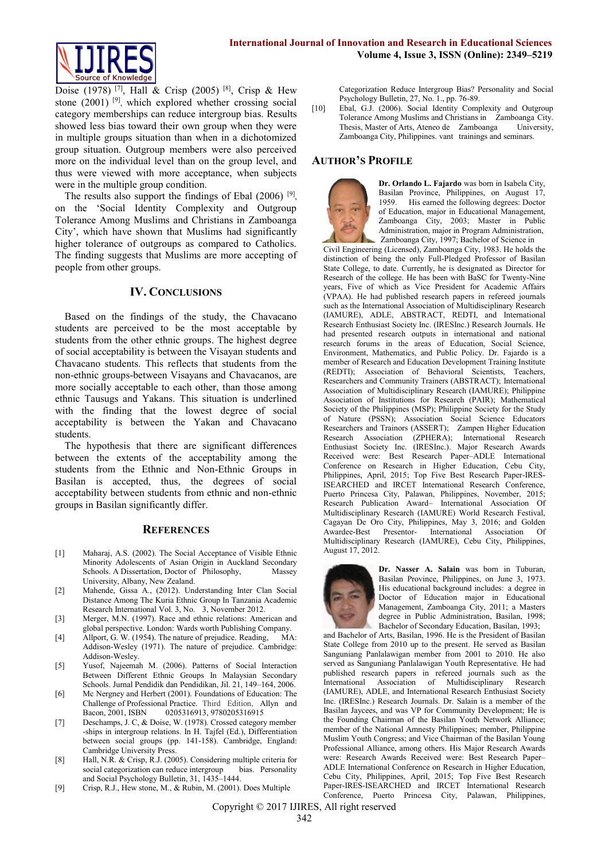

Doise (1978) <sup>[7]</sup>, Hall & Crisp (2005) <sup>[8]</sup>, Crisp & Hew stone  $(2001)$  <sup>[9]</sup>, which explored whether crossing social category memberships can reduce intergroup bias. Results showed less bias toward their own group when they were in multiple groups situation than when in a dichotomized group situation. Outgroup members were also perceived more on the individual level than on the group level, and thus were viewed with more acceptance, when subjects were in the multiple group condition.

The results also support the findings of Ebal  $(2006)$ <sup>[9]</sup>, on the 'Social Identity Complexity and Outgroup Tolerance Among Muslims and Christians in Zamboanga City', which have shown that Muslims had significantly higher tolerance of outgroups as compared to Catholics. The finding suggests that Muslims are more accepting of people from other groups.

#### **IV. CONCLUSIONS**

Based on the findings of the study, the Chavacano students are perceived to be the most acceptable by students from the other ethnic groups. The highest degree of social acceptability is between the Visayan students and Chavacano students. This reflects that students from the non-ethnic groups-between Visayans and Chavacanos, are more socially acceptable to each other, than those among ethnic Tausugs and Yakans. This situation is underlined with the finding that the lowest degree of social acceptability is between the Yakan and Chavacano students.

The hypothesis that there are significant differences between the extents of the acceptability among the students from the Ethnic and Non-Ethnic Groups in Basilan is accepted, thus, the degrees of social acceptability between students from ethnic and non-ethnic groups in Basilan significantly differ.

## **REFERENCES**

- [1] Maharaj, A.S. (2002). The Social Acceptance of Visible Ethnic Minority Adolescents of Asian Origin in Auckland Secondary Schools. A Dissertation, Doctor of Philosophy, Massey University, Albany, New Zealand.
- [2] Mahende, Gissa A., (2012). Understanding Inter Clan Social Distance Among The Kuria Ethnic Group In Tanzania Academic Research International Vol. 3, No. 3, November 2012.
- [3] Merger, M.N. (1997). Race and ethnic relations: American and global perspective. London: Wards worth Publishing Company.
- [4] Allport, G. W. (1954). The nature of prejudice. Reading, MA: Addison-Wesley (1971). The nature of prejudice. Cambridge: Addison-Wesley.
- [5] Yusof, Najeemah M. (2006). Patterns of Social Interaction Between Different Ethnic Groups In Malaysian Secondary Schools. Jurnal Pendidik dan Pendidikan, Jil. 21, 149–164, 2006.
- [6] Mc Nergney and Herbert (2001). Foundations of Education: The Challenge of Professional Practice. Third Edition, Allyn and Bacon, 2001, ISBN 0205316913, 9780205316915 0205316913, 9780205316915
- [7] Deschamps, J. C, & Doise, W. (1978). Crossed category member -ships in intergroup relations. In H. Tajfel (Ed.), Differentiation between social groups (pp. 141-158). Cambridge, England: Cambridge University Press.
- [8] Hall, N.R. & Crisp, R.J. (2005). Considering multiple criteria for social categorization can reduce intergroup bias. Personality and Social Psychology Bulletin, 31, 1435–1444.
- [9] Crisp, R.J., Hew stone, M., & Rubin, M. (2001). Does Multiple

Categorization Reduce Intergroup Bias? Personality and Social Psychology Bulletin, 27, No. 1., pp. 76-89.

[10] Ebal, G.J. (2006). Social Identity Complexity and Outgroup Tolerance Among Muslims and Christians in Zamboanga City. Thesis, Master of Arts, Ateneo de Zamboanga Zamboanga City, Philippines. vant trainings and seminars.

### **AUTHOR'S PROFILE**



**Dr. Orlando L. Fajardo** was born in Isabela City, Basilan Province, Philippines, on August 17, 1959. His earned the following degrees: Doctor of Education, major in Educational Management, Zamboanga City, 2003; Master in Public Administration, major in Program Administration, Zamboanga City, 1997; Bachelor of Science in

Civil Engineering (Licensed), Zamboanga City, 1983. He holds the distinction of being the only Full-Pledged Professor of Basilan State College, to date. Currently, he is designated as Director for Research of the college. He has been with BaSC for Twenty-Nine years, Five of which as Vice President for Academic Affairs (VPAA). He had published research papers in refereed journals such as the International Association of Multidisciplinary Research (IAMURE), ADLE, ABSTRACT, REDTI, and International Research Enthusiast Society Inc. (IRESInc.) Research Journals. He had presented research outputs in international and national research forums in the areas of Education, Social Science, Environment, Mathematics, and Public Policy. Dr. Fajardo is a member of Research and Education Development Training Institute (REDTI); Association of Behavioral Scientists, Teachers, Researchers and Community Trainers (ABSTRACT); International Association of Multidisciplinary Research (IAMURE); Philippine Association of Institutions for Research (PAIR); Mathematical Society of the Philippines (MSP); Philippine Society for the Study of Nature (PSSN); Association Social Science Educators Researchers and Trainors (ASSERT); Zampen Higher Education<br>Research Association (ZPHERA): International Research (ZPHERA); International Research Enthusiast Society Inc. (IRESInc.). Major Research Awards Received were: Best Research Paper–ADLE International Conference on Research in Higher Education, Cebu City, Philippines, April, 2015; Top Five Best Research Paper-IRES-ISEARCHED and IRCET International Research Conference, Puerto Princesa City, Palawan, Philippines, November, 2015; Research Publication Award– International Association Of Multidisciplinary Research (IAMURE) World Research Festival, Cagayan De Oro City, Philippines, May 3, 2016; and Golden Awardee-Best Presentor- International Association Of Multidisciplinary Research (IAMURE), Cebu City, Philippines, August 17, 2012.



**Dr. Nasser A. Salain** was born in Tuburan, Basilan Province, Philippines, on June 3, 1973. His educational background includes: a degree in Doctor of Education major in Educational Management, Zamboanga City, 2011; a Masters degree in Public Administration, Basilan, 1998; Bachelor of Secondary Education, Basilan, 1993;

and Bachelor of Arts, Basilan, 1996. He is the President of Basilan State College from 2010 up to the present. He served as Basilan Sanguniang Panlalawigan member from 2001 to 2010. He also served as Sanguniang Panlalawigan Youth Representative. He had published research papers in refereed journals such as the International Association of Multidisciplinary Research (IAMURE), ADLE, and International Research Enthusiast Society Inc. (IRESInc.) Research Journals. Dr. Salain is a member of the Basilan Jaycees, and was VP for Community Development; He is the Founding Chairman of the Basilan Youth Network Alliance; member of the National Amnesty Philippines; member, Philippine Muslim Youth Congress; and Vice Chairman of the Basilan Young Professional Alliance, among others. His Major Research Awards were: Research Awards Received were: Best Research Paper– ADLE International Conference on Research in Higher Education, Cebu City, Philippines, April, 2015; Top Five Best Research Paper-IRES-ISEARCHED and IRCET International Research Conference, Puerto Princesa City, Palawan, Philippines,

Copyright © 2017 IJIRES, All right reserved